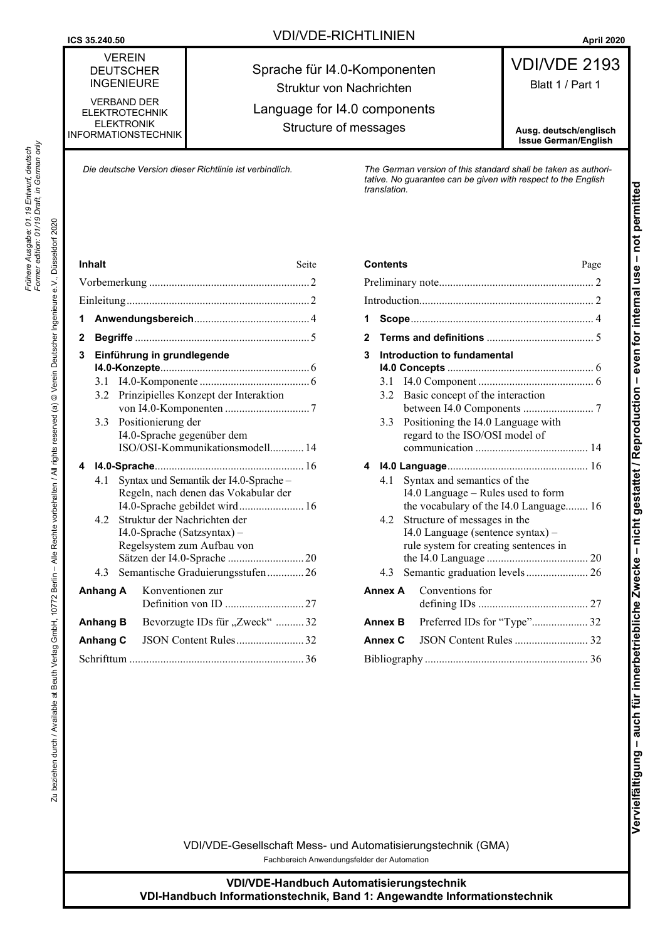**ICS 35.240.50 April 2020 VDI/VDE-RICHTLINIEN April 2020** 

Sprache für I4.0-Komponenten

# VDI/VDE 2193 Blatt 1 / Part 1

VERBAND DER ELEKTROTECHNIK ELEKTRONIK INFORMATIONSTECHNIK

VEREIN DEUTSCHER INGENIEURE

Struktur von Nachrichten Language for I4.0 components Structure of messages

**Ausg. deutsch/englisch Issue German/English**

*Die deutsche Version dieser Richtlinie ist verbindlich. The German version of this standard shall be taken as authoritative. No guarantee can be given with respect to the English translation.*

*Frühere Ausgabe: 01.19 Entwurf, deutsch Former edition: 01/19 Draft, in German only*

Frühere Ausgabe: 01.19 Entwurf, deutsch<br>Former edition: 01/19 Draft, in German only

|   | ınnait          | $_{\rm{sette}}$                                                                                                |  |  |  |  |  |  |
|---|-----------------|----------------------------------------------------------------------------------------------------------------|--|--|--|--|--|--|
|   |                 |                                                                                                                |  |  |  |  |  |  |
|   |                 |                                                                                                                |  |  |  |  |  |  |
| 1 |                 |                                                                                                                |  |  |  |  |  |  |
| 2 |                 |                                                                                                                |  |  |  |  |  |  |
| 3 |                 | Einführung in grundlegende                                                                                     |  |  |  |  |  |  |
|   | 3.1             |                                                                                                                |  |  |  |  |  |  |
|   | 3.2             | Prinzipielles Konzept der Interaktion                                                                          |  |  |  |  |  |  |
|   | 3.3             | Positionierung der<br>I4.0-Sprache gegenüber dem<br>ISO/OSI-Kommunikationsmodell 14                            |  |  |  |  |  |  |
| 4 |                 |                                                                                                                |  |  |  |  |  |  |
|   | 4.1             | Syntax und Semantik der I4.0-Sprache-<br>Regeln, nach denen das Vokabular der<br>I4.0-Sprache gebildet wird 16 |  |  |  |  |  |  |
|   | 42              | Struktur der Nachrichten der<br>I4.0-Sprache (Satzsyntax) -<br>Regelsystem zum Aufbau von                      |  |  |  |  |  |  |
|   | 4.3             | Semantische Graduierungsstufen26                                                                               |  |  |  |  |  |  |
|   | <b>Anhang A</b> | Konventionen zur                                                                                               |  |  |  |  |  |  |
|   | Anhang B        | Bevorzugte IDs für "Zweck"  32                                                                                 |  |  |  |  |  |  |
|   | Anhang C        | JSON Content Rules32                                                                                           |  |  |  |  |  |  |
|   |                 |                                                                                                                |  |  |  |  |  |  |

| <b>Inhalt</b> |                                                                                                                       |                                                                                                                                  | Seite                                                                                                                                                          | <b>Contents</b> |                                                                                                                         |                |                                                                                                                                             | Page                                                                                                                                        |  |
|---------------|-----------------------------------------------------------------------------------------------------------------------|----------------------------------------------------------------------------------------------------------------------------------|----------------------------------------------------------------------------------------------------------------------------------------------------------------|-----------------|-------------------------------------------------------------------------------------------------------------------------|----------------|---------------------------------------------------------------------------------------------------------------------------------------------|---------------------------------------------------------------------------------------------------------------------------------------------|--|
|               |                                                                                                                       |                                                                                                                                  |                                                                                                                                                                |                 |                                                                                                                         |                |                                                                                                                                             |                                                                                                                                             |  |
|               |                                                                                                                       |                                                                                                                                  |                                                                                                                                                                |                 |                                                                                                                         |                |                                                                                                                                             |                                                                                                                                             |  |
|               |                                                                                                                       |                                                                                                                                  |                                                                                                                                                                |                 |                                                                                                                         |                |                                                                                                                                             |                                                                                                                                             |  |
| 2             |                                                                                                                       |                                                                                                                                  |                                                                                                                                                                |                 |                                                                                                                         | $\mathbf{2}$   |                                                                                                                                             |                                                                                                                                             |  |
| 3             | 3.2                                                                                                                   |                                                                                                                                  | Einführung in grundlegende<br>Prinzipielles Konzept der Interaktion<br>3.3 Positionierung der<br>I4.0-Sprache gegenüber dem<br>ISO/OSI-Kommunikationsmodell 14 |                 | 3                                                                                                                       | 3.1<br>3.3     |                                                                                                                                             | Introduction to fundamental<br>3.2 Basic concept of the interaction<br>Positioning the I4.0 Language with<br>regard to the ISO/OSI model of |  |
|               | Syntax und Semantik der I4.0-Sprache-<br>4.1<br>Regeln, nach denen das Vokabular der<br>I4.0-Sprache gebildet wird 16 |                                                                                                                                  |                                                                                                                                                                |                 | 4<br>Syntax and semantics of the<br>4.1<br>I4.0 Language – Rules used to form<br>the vocabulary of the I4.0 Language 16 |                |                                                                                                                                             |                                                                                                                                             |  |
|               | 4.2<br>4.3                                                                                                            | Struktur der Nachrichten der<br>$I4.0$ -Sprache (Satzsyntax) –<br>Regelsystem zum Aufbau von<br>Semantische Graduierungsstufen26 |                                                                                                                                                                |                 |                                                                                                                         | 4.2<br>4.3     | Structure of messages in the<br>I4.0 Language (sentence syntax) -<br>rule system for creating sentences in<br>Semantic graduation levels 26 |                                                                                                                                             |  |
|               | Anhang A                                                                                                              |                                                                                                                                  | Konventionen zur                                                                                                                                               |                 |                                                                                                                         | <b>Annex A</b> |                                                                                                                                             | Conventions for                                                                                                                             |  |
|               | Anhang B                                                                                                              |                                                                                                                                  | Bevorzugte IDs für "Zweck"  32                                                                                                                                 |                 |                                                                                                                         | <b>Annex B</b> |                                                                                                                                             | Preferred IDs for "Type" 32                                                                                                                 |  |
|               | Anhang C                                                                                                              |                                                                                                                                  | JSON Content Rules32                                                                                                                                           |                 |                                                                                                                         | <b>Annex C</b> |                                                                                                                                             |                                                                                                                                             |  |
|               |                                                                                                                       |                                                                                                                                  |                                                                                                                                                                |                 |                                                                                                                         |                |                                                                                                                                             |                                                                                                                                             |  |
|               |                                                                                                                       |                                                                                                                                  |                                                                                                                                                                |                 |                                                                                                                         |                |                                                                                                                                             |                                                                                                                                             |  |

VDI/VDE-Gesellschaft Mess- und Automatisierungstechnik (GMA) Fachbereich Anwendungsfelder der Automation

**VDI/VDE-Handbuch Automatisierungstechnik VDI-Handbuch Informationstechnik, Band 1: Angewandte Informationstechnik**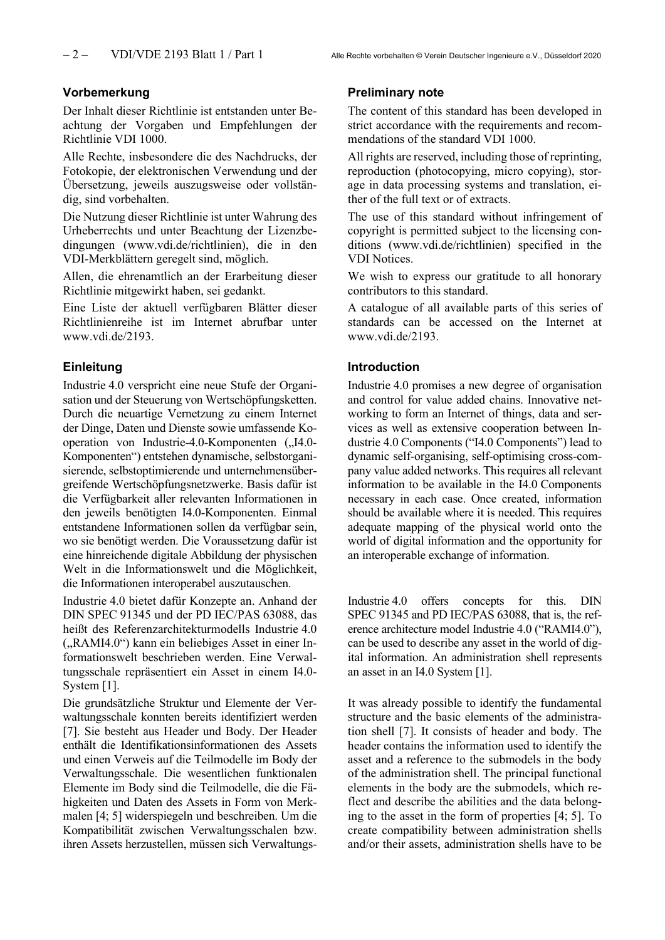### **Vorbemerkung**

Der Inhalt dieser Richtlinie ist entstanden unter Beachtung der Vorgaben und Empfehlungen der Richtlinie VDI 1000.

Alle Rechte, insbesondere die des Nachdrucks, der Fotokopie, der elektronischen Verwendung und der Übersetzung, jeweils auszugsweise oder vollständig, sind vorbehalten.

Die Nutzung dieser Richtlinie ist unter Wahrung des Urheberrechts und unter Beachtung der Lizenzbedingungen (www.vdi.de/richtlinien), die in den VDI-Merkblättern geregelt sind, möglich.

Allen, die ehrenamtlich an der Erarbeitung dieser Richtlinie mitgewirkt haben, sei gedankt.

Eine Liste der aktuell verfügbaren Blätter dieser Richtlinienreihe ist im Internet abrufbar unter www.vdi.de/2193.

#### **Einleitung**

Industrie 4.0 verspricht eine neue Stufe der Organisation und der Steuerung von Wertschöpfungsketten. Durch die neuartige Vernetzung zu einem Internet der Dinge, Daten und Dienste sowie umfassende Kooperation von Industrie-4.0-Komponenten ("I4.0-Komponenten") entstehen dynamische, selbstorganisierende, selbstoptimierende und unternehmensübergreifende Wertschöpfungsnetzwerke. Basis dafür ist die Verfügbarkeit aller relevanten Informationen in den jeweils benötigten I4.0-Komponenten. Einmal entstandene Informationen sollen da verfügbar sein, wo sie benötigt werden. Die Voraussetzung dafür ist eine hinreichende digitale Abbildung der physischen Welt in die Informationswelt und die Möglichkeit, die Informationen interoperabel auszutauschen.

Industrie 4.0 bietet dafür Konzepte an. Anhand der DIN SPEC 91345 und der PD IEC/PAS 63088, das heißt des Referenzarchitekturmodells Industrie 4.0 ("RAMI4.0") kann ein beliebiges Asset in einer Informationswelt beschrieben werden. Eine Verwaltungsschale repräsentiert ein Asset in einem I4.0- System [1].

Die grundsätzliche Struktur und Elemente der Verwaltungsschale konnten bereits identifiziert werden [7]. Sie besteht aus Header und Body. Der Header enthält die Identifikationsinformationen des Assets und einen Verweis auf die Teilmodelle im Body der Verwaltungsschale. Die wesentlichen funktionalen Elemente im Body sind die Teilmodelle, die die Fähigkeiten und Daten des Assets in Form von Merkmalen [4; 5] widerspiegeln und beschreiben. Um die Kompatibilität zwischen Verwaltungsschalen bzw. ihren Assets herzustellen, müssen sich Verwaltungs-

#### **Preliminary note**

The content of this standard has been developed in strict accordance with the requirements and recommendations of the standard VDI 1000.

All rights are reserved, including those of reprinting, reproduction (photocopying, micro copying), storage in data processing systems and translation, either of the full text or of extracts.

The use of this standard without infringement of copyright is permitted subject to the licensing conditions (www.vdi.de/richtlinien) specified in the VDI Notices.

We wish to express our gratitude to all honorary contributors to this standard.

A catalogue of all available parts of this series of standards can be accessed on the Internet at www.vdi.de/2193.

#### **Introduction**

Industrie 4.0 promises a new degree of organisation and control for value added chains. Innovative networking to form an Internet of things, data and services as well as extensive cooperation between Industrie 4.0 Components ("I4.0 Components") lead to dynamic self-organising, self-optimising cross-company value added networks. This requires all relevant information to be available in the I4.0 Components necessary in each case. Once created, information should be available where it is needed. This requires adequate mapping of the physical world onto the world of digital information and the opportunity for an interoperable exchange of information.

Industrie 4.0 offers concepts for this. DIN SPEC 91345 and PD IEC/PAS 63088, that is, the reference architecture model Industrie 4.0 ("RAMI4.0"), can be used to describe any asset in the world of digital information. An administration shell represents an asset in an I4.0 System [1].

It was already possible to identify the fundamental structure and the basic elements of the administration shell [7]. It consists of header and body. The header contains the information used to identify the asset and a reference to the submodels in the body of the administration shell. The principal functional elements in the body are the submodels, which reflect and describe the abilities and the data belonging to the asset in the form of properties [4; 5]. To create compatibility between administration shells and/or their assets, administration shells have to be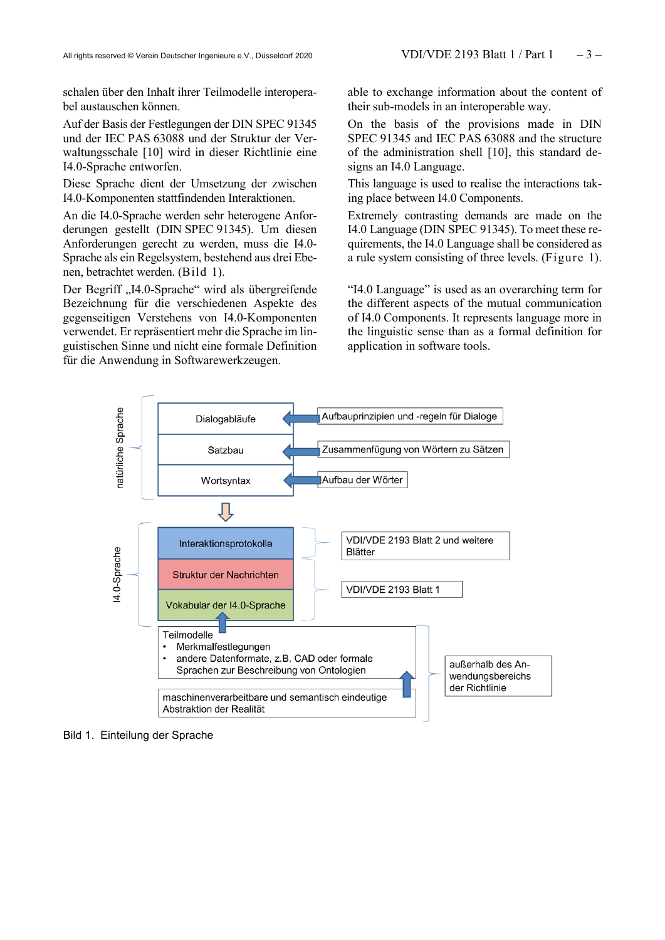schalen über den Inhalt ihrer Teilmodelle interoperabel austauschen können.

Auf der Basis der Festlegungen der DIN SPEC 91345 und der IEC PAS 63088 und der Struktur der Verwaltungsschale [10] wird in dieser Richtlinie eine I4.0-Sprache entworfen.

Diese Sprache dient der Umsetzung der zwischen I4.0-Komponenten stattfindenden Interaktionen.

An die I4.0-Sprache werden sehr heterogene Anforderungen gestellt (DIN SPEC 91345). Um diesen Anforderungen gerecht zu werden, muss die I4.0- Sprache als ein Regelsystem, bestehend aus drei Ebenen, betrachtet werden. (Bild 1).

Der Begriff "I4.0-Sprache" wird als übergreifende Bezeichnung für die verschiedenen Aspekte des gegenseitigen Verstehens von I4.0-Komponenten verwendet. Er repräsentiert mehr die Sprache im linguistischen Sinne und nicht eine formale Definition für die Anwendung in Softwarewerkzeugen.

able to exchange information about the content of their sub-models in an interoperable way.

On the basis of the provisions made in DIN SPEC 91345 and IEC PAS 63088 and the structure of the administration shell [10], this standard designs an I4.0 Language.

This language is used to realise the interactions taking place between I4.0 Components.

Extremely contrasting demands are made on the I4.0 Language (DIN SPEC 91345). To meet these requirements, the I4.0 Language shall be considered as a rule system consisting of three levels. (Figure 1).

"I4.0 Language" is used as an overarching term for the different aspects of the mutual communication of I4.0 Components. It represents language more in the linguistic sense than as a formal definition for application in software tools.



#### Bild 1. Einteilung der Sprache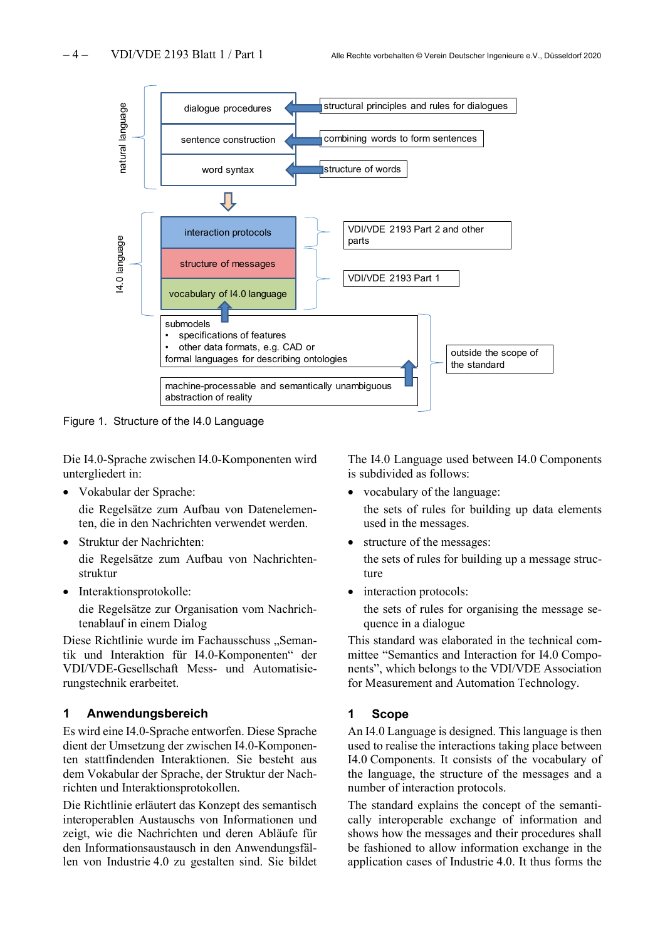

Figure 1. Structure of the I4.0 Language

Die I4.0-Sprache zwischen I4.0-Komponenten wird untergliedert in:

• Vokabular der Sprache:

die Regelsätze zum Aufbau von Datenelementen, die in den Nachrichten verwendet werden.

- Struktur der Nachrichten: die Regelsätze zum Aufbau von Nachrichtenstruktur
- Interaktionsprotokolle:

die Regelsätze zur Organisation vom Nachrichtenablauf in einem Dialog

Diese Richtlinie wurde im Fachausschuss "Semantik und Interaktion für I4.0-Komponenten" der VDI/VDE-Gesellschaft Mess- und Automatisierungstechnik erarbeitet.

## **1 Anwendungsbereich**

Es wird eine I4.0-Sprache entworfen. Diese Sprache dient der Umsetzung der zwischen I4.0-Komponenten stattfindenden Interaktionen. Sie besteht aus dem Vokabular der Sprache, der Struktur der Nachrichten und Interaktionsprotokollen.

Die Richtlinie erläutert das Konzept des semantisch interoperablen Austauschs von Informationen und zeigt, wie die Nachrichten und deren Abläufe für den Informationsaustausch in den Anwendungsfällen von Industrie 4.0 zu gestalten sind. Sie bildet The I4.0 Language used between I4.0 Components is subdivided as follows:

- vocabulary of the language: the sets of rules for building up data elements used in the messages.
- structure of the messages: the sets of rules for building up a message structure
- interaction protocols:

the sets of rules for organising the message sequence in a dialogue

This standard was elaborated in the technical committee "Semantics and Interaction for I4.0 Components", which belongs to the VDI/VDE Association for Measurement and Automation Technology.

## **1 Scope**

An I4.0 Language is designed. This language is then used to realise the interactions taking place between I4.0 Components. It consists of the vocabulary of the language, the structure of the messages and a number of interaction protocols.

The standard explains the concept of the semantically interoperable exchange of information and shows how the messages and their procedures shall be fashioned to allow information exchange in the application cases of Industrie 4.0. It thus forms the